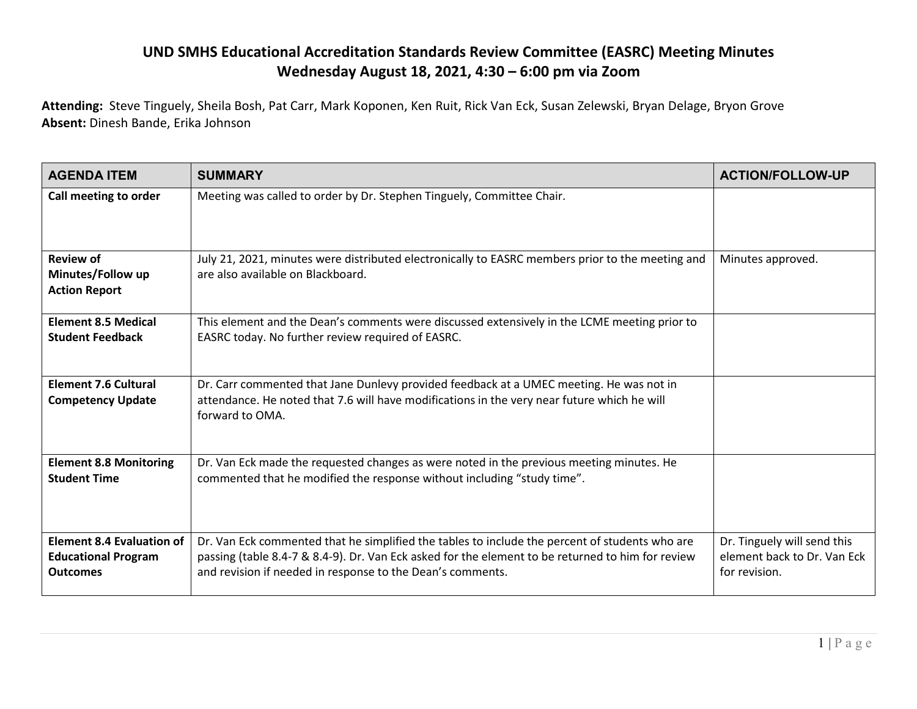## **UND SMHS Educational Accreditation Standards Review Committee (EASRC) Meeting Minutes Wednesday August 18, 2021, 4:30 – 6:00 pm via Zoom**

**Attending:** Steve Tinguely, Sheila Bosh, Pat Carr, Mark Koponen, Ken Ruit, Rick Van Eck, Susan Zelewski, Bryan Delage, Bryon Grove **Absent:** Dinesh Bande, Erika Johnson

| <b>AGENDA ITEM</b>                                                                | <b>SUMMARY</b>                                                                                                                                                                                                                                                    | <b>ACTION/FOLLOW-UP</b>                                                     |
|-----------------------------------------------------------------------------------|-------------------------------------------------------------------------------------------------------------------------------------------------------------------------------------------------------------------------------------------------------------------|-----------------------------------------------------------------------------|
| Call meeting to order                                                             | Meeting was called to order by Dr. Stephen Tinguely, Committee Chair.                                                                                                                                                                                             |                                                                             |
| <b>Review of</b><br>Minutes/Follow up<br><b>Action Report</b>                     | July 21, 2021, minutes were distributed electronically to EASRC members prior to the meeting and<br>are also available on Blackboard.                                                                                                                             | Minutes approved.                                                           |
| <b>Element 8.5 Medical</b><br><b>Student Feedback</b>                             | This element and the Dean's comments were discussed extensively in the LCME meeting prior to<br>EASRC today. No further review required of EASRC.                                                                                                                 |                                                                             |
| <b>Element 7.6 Cultural</b><br><b>Competency Update</b>                           | Dr. Carr commented that Jane Dunlevy provided feedback at a UMEC meeting. He was not in<br>attendance. He noted that 7.6 will have modifications in the very near future which he will<br>forward to OMA.                                                         |                                                                             |
| <b>Element 8.8 Monitoring</b><br><b>Student Time</b>                              | Dr. Van Eck made the requested changes as were noted in the previous meeting minutes. He<br>commented that he modified the response without including "study time".                                                                                               |                                                                             |
| <b>Element 8.4 Evaluation of</b><br><b>Educational Program</b><br><b>Outcomes</b> | Dr. Van Eck commented that he simplified the tables to include the percent of students who are<br>passing (table 8.4-7 & 8.4-9). Dr. Van Eck asked for the element to be returned to him for review<br>and revision if needed in response to the Dean's comments. | Dr. Tinguely will send this<br>element back to Dr. Van Eck<br>for revision. |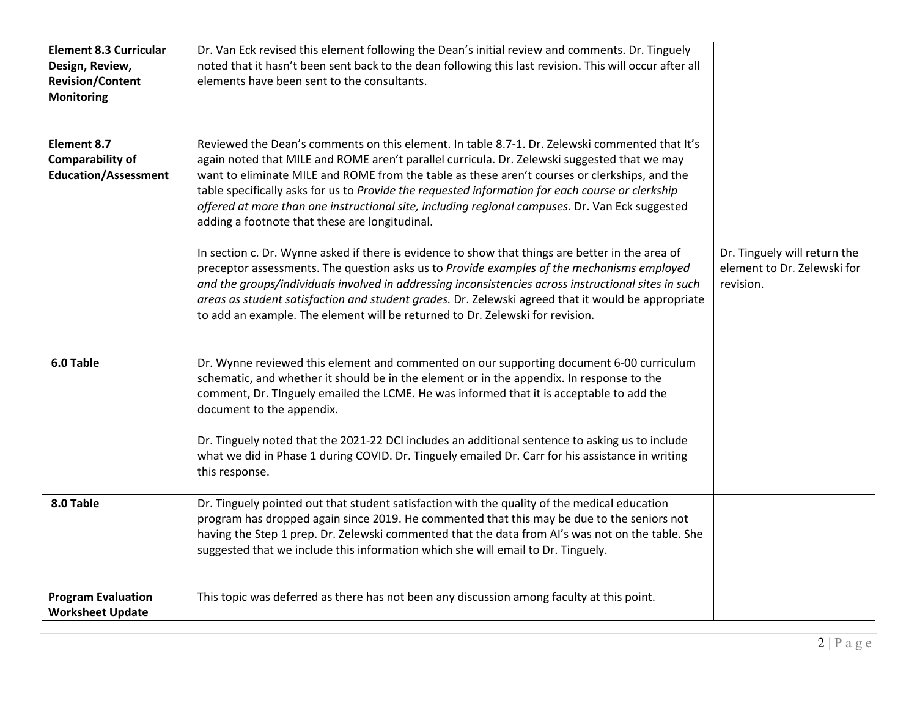| <b>Element 8.3 Curricular</b><br>Design, Review,<br><b>Revision/Content</b><br><b>Monitoring</b> | Dr. Van Eck revised this element following the Dean's initial review and comments. Dr. Tinguely<br>noted that it hasn't been sent back to the dean following this last revision. This will occur after all<br>elements have been sent to the consultants.                                                                                                                                                                                                                                                                                                                                                                                                                                                                                                                                                                                                                                                                                                                                                                                                 |                                                                          |
|--------------------------------------------------------------------------------------------------|-----------------------------------------------------------------------------------------------------------------------------------------------------------------------------------------------------------------------------------------------------------------------------------------------------------------------------------------------------------------------------------------------------------------------------------------------------------------------------------------------------------------------------------------------------------------------------------------------------------------------------------------------------------------------------------------------------------------------------------------------------------------------------------------------------------------------------------------------------------------------------------------------------------------------------------------------------------------------------------------------------------------------------------------------------------|--------------------------------------------------------------------------|
| <b>Element 8.7</b><br><b>Comparability of</b><br><b>Education/Assessment</b>                     | Reviewed the Dean's comments on this element. In table 8.7-1. Dr. Zelewski commented that It's<br>again noted that MILE and ROME aren't parallel curricula. Dr. Zelewski suggested that we may<br>want to eliminate MILE and ROME from the table as these aren't courses or clerkships, and the<br>table specifically asks for us to Provide the requested information for each course or clerkship<br>offered at more than one instructional site, including regional campuses. Dr. Van Eck suggested<br>adding a footnote that these are longitudinal.<br>In section c. Dr. Wynne asked if there is evidence to show that things are better in the area of<br>preceptor assessments. The question asks us to Provide examples of the mechanisms employed<br>and the groups/individuals involved in addressing inconsistencies across instructional sites in such<br>areas as student satisfaction and student grades. Dr. Zelewski agreed that it would be appropriate<br>to add an example. The element will be returned to Dr. Zelewski for revision. | Dr. Tinguely will return the<br>element to Dr. Zelewski for<br>revision. |
| 6.0 Table                                                                                        | Dr. Wynne reviewed this element and commented on our supporting document 6-00 curriculum<br>schematic, and whether it should be in the element or in the appendix. In response to the<br>comment, Dr. TInguely emailed the LCME. He was informed that it is acceptable to add the<br>document to the appendix.<br>Dr. Tinguely noted that the 2021-22 DCI includes an additional sentence to asking us to include<br>what we did in Phase 1 during COVID. Dr. Tinguely emailed Dr. Carr for his assistance in writing<br>this response.                                                                                                                                                                                                                                                                                                                                                                                                                                                                                                                   |                                                                          |
| 8.0 Table                                                                                        | Dr. Tinguely pointed out that student satisfaction with the quality of the medical education<br>program has dropped again since 2019. He commented that this may be due to the seniors not<br>having the Step 1 prep. Dr. Zelewski commented that the data from AI's was not on the table. She<br>suggested that we include this information which she will email to Dr. Tinguely.                                                                                                                                                                                                                                                                                                                                                                                                                                                                                                                                                                                                                                                                        |                                                                          |
| <b>Program Evaluation</b><br><b>Worksheet Update</b>                                             | This topic was deferred as there has not been any discussion among faculty at this point.                                                                                                                                                                                                                                                                                                                                                                                                                                                                                                                                                                                                                                                                                                                                                                                                                                                                                                                                                                 |                                                                          |